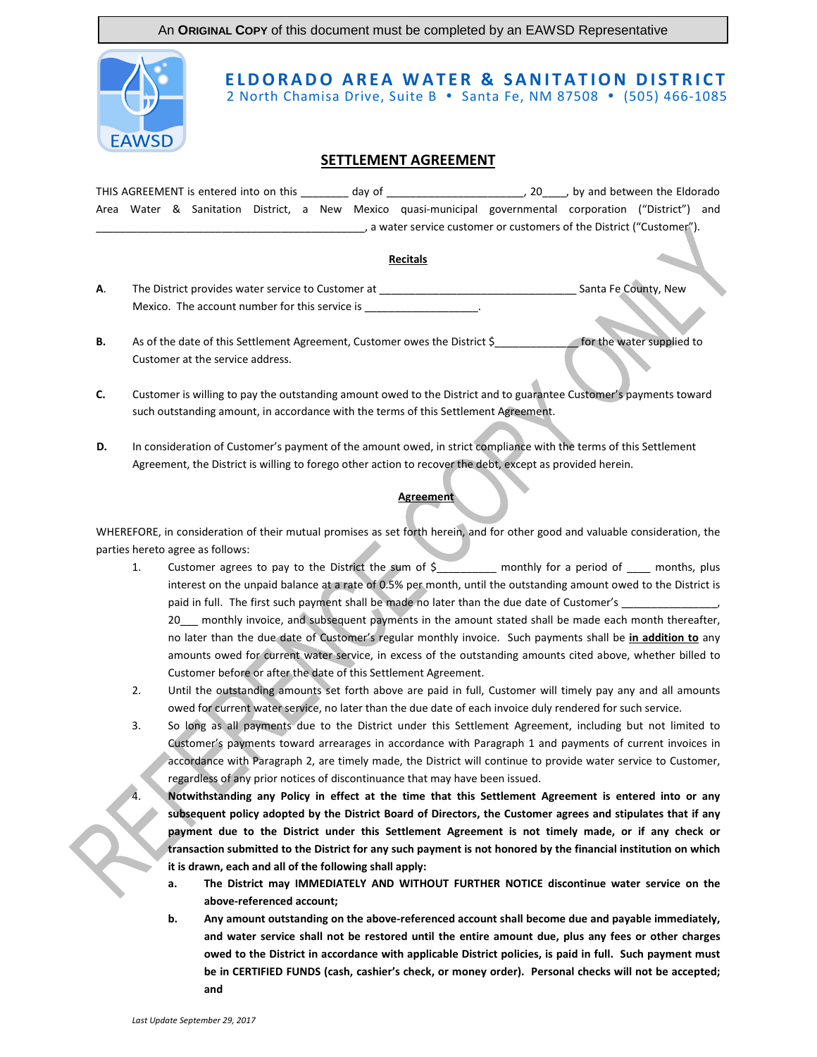An **ORIGINAL COPY** of this document must be completed by an EAWSD Representative



## **ELDORADO AREA WATER & SANITATION DISTRICT**

2 North Chamisa Drive, Suite B • Santa Fe, NM 87508 • (505) 466-1085

## **SETTLEMENT AGREEMENT**

THIS AGREEMENT is entered into on this \_\_\_\_\_\_\_\_ day of \_\_\_\_\_\_\_\_\_\_\_\_\_\_\_\_\_\_\_\_\_\_\_, 20\_\_\_\_, by and between the Eldorado Area Water & Sanitation District, a New Mexico quasi-municipal governmental corporation ("District") and \_\_\_\_, a water service customer or customers of the District ("Customer").

## **Recitals**

- **A**. The District provides water service to Customer at \_\_\_\_\_\_\_\_\_\_\_\_\_\_\_\_\_\_\_\_\_\_\_\_\_\_\_\_\_\_\_\_\_ Santa Fe County, New Mexico. The account number for this service is
- **B.** As of the date of this Settlement Agreement, Customer owes the District \$ **Examples** for the water supplied to Customer at the service address.
- **C.** Customer is willing to pay the outstanding amount owed to the District and to guarantee Customer's payments toward such outstanding amount, in accordance with the terms of this Settlement Agreement.
- **D.** In consideration of Customer's payment of the amount owed, in strict compliance with the terms of this Settlement Agreement, the District is willing to forego other action to recover the debt, except as provided herein.

## **Agreement**

WHEREFORE, in consideration of their mutual promises as set forth herein, and for other good and valuable consideration, the parties hereto agree as follows:

1. Customer agrees to pay to the District the sum of \$ \_\_\_\_\_\_\_\_ monthly for a period of \_\_\_\_ months, plus interest on the unpaid balance at a rate of 0.5% per month, until the outstanding amount owed to the District is paid in full. The first such payment shall be made no later than the due date of Customer's

20 monthly invoice, and subsequent payments in the amount stated shall be made each month thereafter, no later than the due date of Customer's regular monthly invoice. Such payments shall be **in addition to** any amounts owed for current water service, in excess of the outstanding amounts cited above, whether billed to Customer before or after the date of this Settlement Agreement.

- 2. Until the outstanding amounts set forth above are paid in full, Customer will timely pay any and all amounts owed for current water service, no later than the due date of each invoice duly rendered for such service.
- 3. So long as all payments due to the District under this Settlement Agreement, including but not limited to Customer's payments toward arrearages in accordance with Paragraph 1 and payments of current invoices in accordance with Paragraph 2, are timely made, the District will continue to provide water service to Customer, regardless of any prior notices of discontinuance that may have been issued.

4. **Notwithstanding any Policy in effect at the time that this Settlement Agreement is entered into or any subsequent policy adopted by the District Board of Directors, the Customer agrees and stipulates that if any payment due to the District under this Settlement Agreement is not timely made, or if any check or transaction submitted to the District for any such payment is not honored by the financial institution on which it is drawn, each and all of the following shall apply:**

- **a. The District may IMMEDIATELY AND WITHOUT FURTHER NOTICE discontinue water service on the above-referenced account;**
- **b. Any amount outstanding on the above-referenced account shall become due and payable immediately, and water service shall not be restored until the entire amount due, plus any fees or other charges owed to the District in accordance with applicable District policies, is paid in full. Such payment must be in CERTIFIED FUNDS (cash, cashier's check, or money order). Personal checks will not be accepted; and**